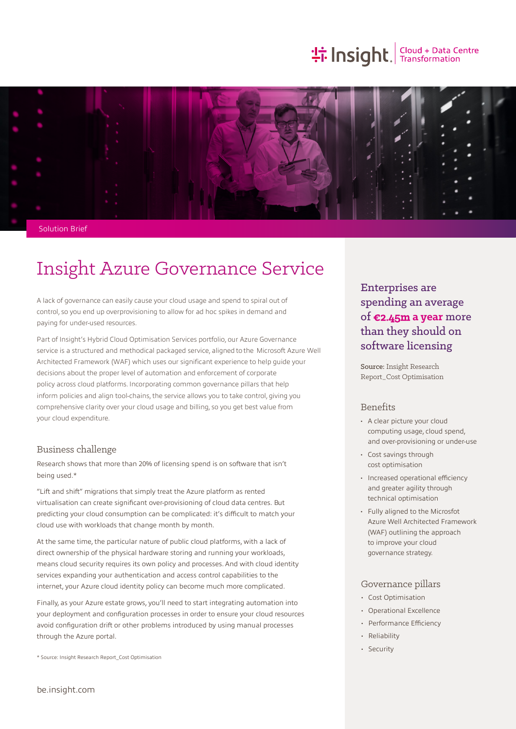# **the Insight**. Transformation



Solution Brief

# Insight Azure Governance Service

A lack of governance can easily cause your cloud usage and spend to spiral out of control, so you end up overprovisioning to allow for ad hoc spikes in demand and paying for under-used resources.

Part of Insight's Hybrid Cloud Optimisation Services portfolio, our Azure Governance service is a structured and methodical packaged service, aligned to the Microsoft Azure Well Architected Framework (WAF) which uses our significant experience to help guide your decisions about the proper level of automation and enforcement of corporate policy across cloud platforms. Incorporating common governance pillars that help inform policies and align tool-chains, the service allows you to take control, giving you comprehensive clarity over your cloud usage and billing, so you get best value from your cloud expenditure.

### Business challenge

Research shows that more than 20% of licensing spend is on software that isn't being used.\*

"Lift and shift" migrations that simply treat the Azure platform as rented virtualisation can create significant over-provisioning of cloud data centres. But predicting your cloud consumption can be complicated: it's difficult to match your cloud use with workloads that change month by month.

At the same time, the particular nature of public cloud platforms, with a lack of direct ownership of the physical hardware storing and running your workloads, means cloud security requires its own policy and processes. And with cloud identity services expanding your authentication and access control capabilities to the internet, your Azure cloud identity policy can become much more complicated.

Finally, as your Azure estate grows, you'll need to start integrating automation into your deployment and configuration processes in order to ensure your cloud resources avoid configuration drift or other problems introduced by using manual processes through the Azure portal.

\* Source: Insight Research Report\_Cost Optimisation

# Enterprises are spending an average of €2.45m **a year** more than they should on software licensing

Source: Insight Research Report\_Cost Optimisation

### Benefits

- A clear picture your cloud computing usage, cloud spend, and over-provisioning or under-use
- Cost savings through cost optimisation
- Increased operational efficiency and greater agility through technical optimisation
- Fully aligned to the Microsfot Azure Well Architected Framework (WAF) outlining the approach to improve your cloud governance strategy.

## Governance pillars

- Cost Optimisation
- Operational Excellence
- Performance Efficiency
- Reliability
- Security